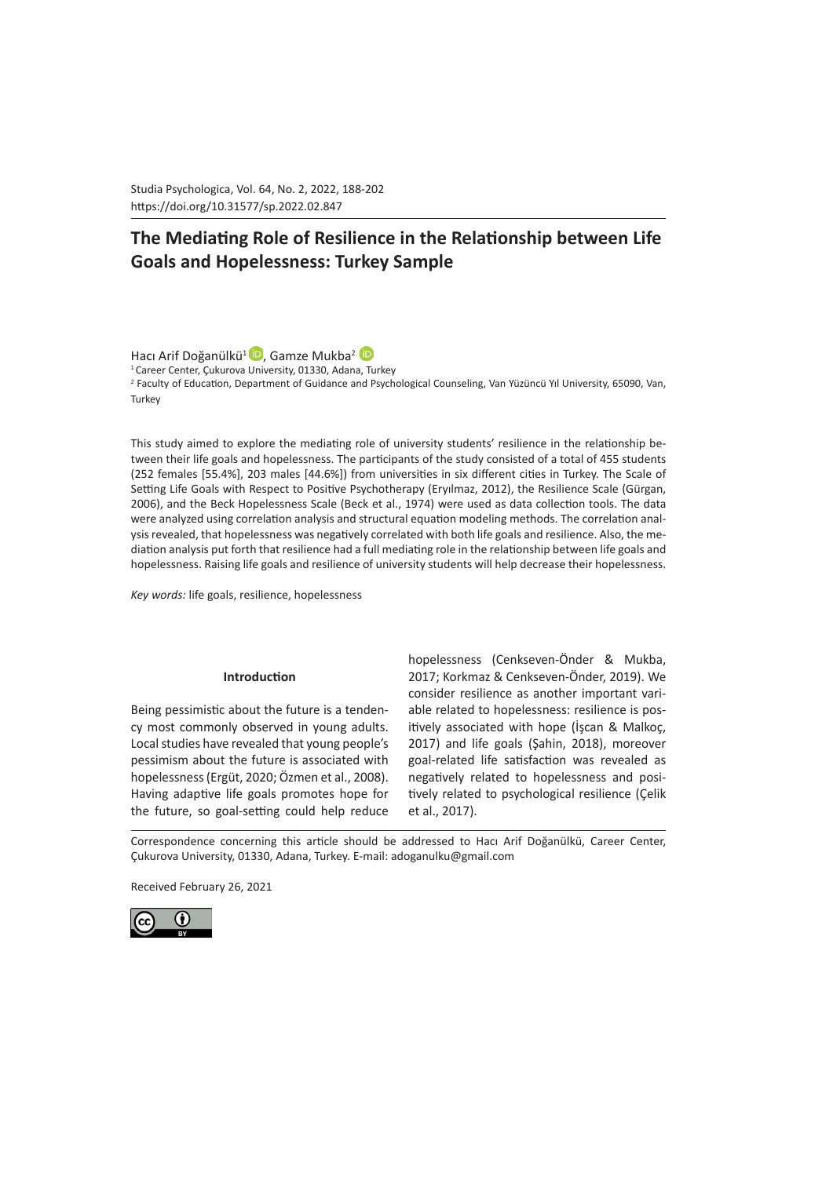Studia Psychologica, Vol. 64, No. 2, 2022, 188-202 https://doi.org/10.31577/sp.2022.02.847 

# **The Mediating Role of Resilience in the Relationship between Life Goals and Hopelessness: Turkey Sample**

HacıArif Doğanülkü<sup>1</sup><sup>D</sup>, Gamze Mukba<sup>2</sup><sup>D</sup>

<sup>1</sup> Career Center, Çukurova University, 01330, Adana, Turkey 2 Faculty of Education, Department of Guidance and Psychological Counseling, Van Yüzüncü Yıl University, 65090, Van, **Turkey** 

This study aimed to explore the mediating role of university students' resilience in the relationship between their life goals and hopelessness. The participants of the study consisted of a total of 455 students (252 females [55.4%], 203 males [44.6%]) from universities in six different cities in Turkey. The Scale of Setting Life Goals with Respect to Positive Psychotherapy (Eryılmaz, 2012), the Resilience Scale (Gürgan, 2006), and the Beck Hopelessness Scale (Beck et al., 1974) were used as data collection tools. The data were analyzed using correlation analysis and structural equation modeling methods. The correlation analysis revealed, that hopelessness was negatively correlated with both life goals and resilience. Also, the mediation analysis put forth that resilience had a full mediating role in the relationship between life goals and hopelessness. Raising life goals and resilience of university students will help decrease their hopelessness.

*Key words:* life goals, resilience, hopelessness

#### **Introduction**

Being pessimistic about the future is a tendency most commonly observed in young adults. Local studies have revealed that young people's pessimism about the future is associated with hopelessness (Ergüt, 2020; Özmen et al., 2008). Having adaptive life goals promotes hope for the future, so goal-setting could help reduce hopelessness (Cenkseven-Önder & Mukba, 2017; Korkmaz & Cenkseven-Önder, 2019). We consider resilience as another important variable related to hopelessness: resilience is positively associated with hope (İşcan & Malkoç, 2017) and life goals (Şahin, 2018), moreover goal-related life satisfaction was revealed as negatively related to hopelessness and positively related to psychological resilience (Çelik et al., 2017).

Correspondence concerning this article should be addressed to Hacı Arif Doğanülkü, Career Center, Çukurova University, 01330, Adana, Turkey. E-mail: adoganulku@gmail.com

Received February 26, 2021

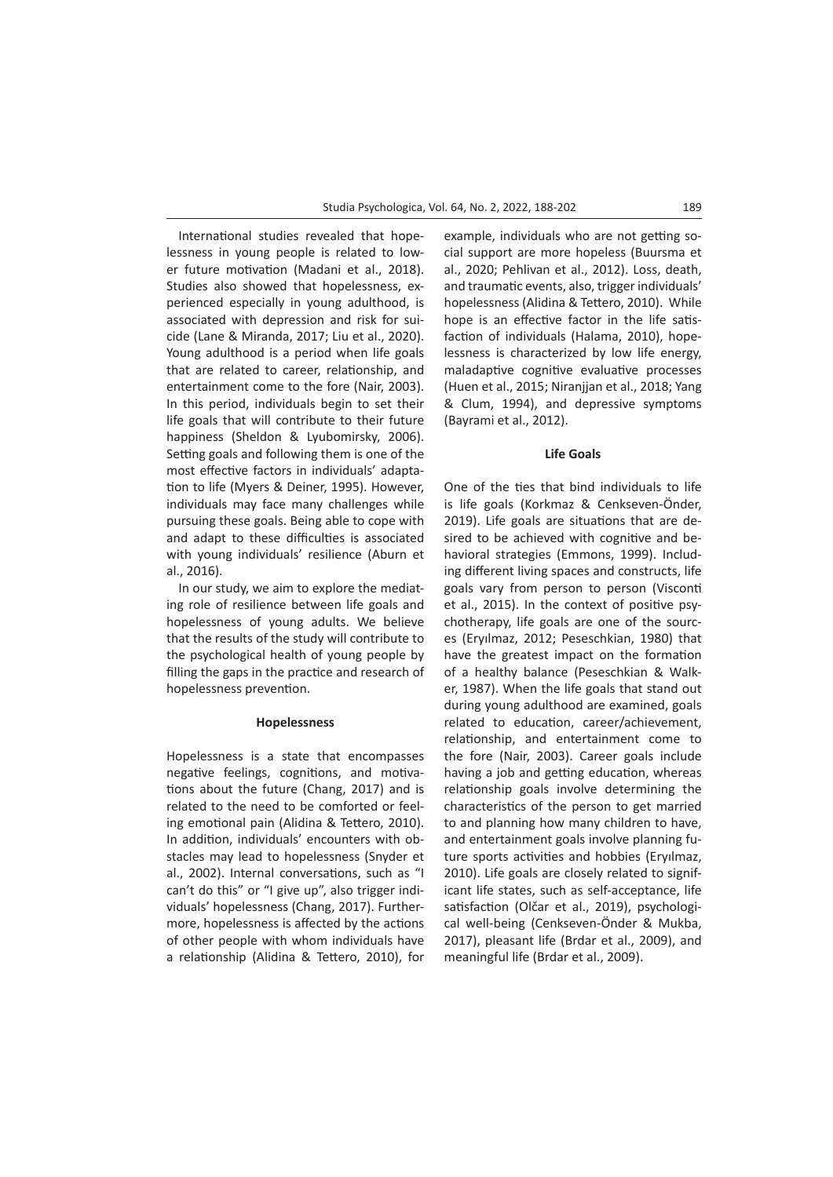International studies revealed that hopelessness in young people is related to lower future motivation (Madani et al., 2018). Studies also showed that hopelessness, experienced especially in young adulthood, is associated with depression and risk for suicide (Lane & Miranda, 2017; Liu et al., 2020). Young adulthood is a period when life goals that are related to career, relationship, and entertainment come to the fore (Nair, 2003). In this period, individuals begin to set their life goals that will contribute to their future happiness (Sheldon & Lyubomirsky, 2006). Setting goals and following them is one of the most effective factors in individuals' adaptation to life (Myers & Deiner, 1995). However, individuals may face many challenges while pursuing these goals. Being able to cope with and adapt to these difficulties is associated with young individuals' resilience (Aburn et al., 2016).

In our study, we aim to explore the mediating role of resilience between life goals and hopelessness of young adults. We believe that the results of the study will contribute to the psychological health of young people by filling the gaps in the practice and research of hopelessness prevention.

#### **Hopelessness**

Hopelessness is a state that encompasses negative feelings, cognitions, and motivations about the future (Chang, 2017) and is related to the need to be comforted or feeling emotional pain (Alidina & Tettero, 2010). In addition, individuals' encounters with obstacles may lead to hopelessness (Snyder et al., 2002). Internal conversations, such as "I can't do this" or "I give up", also trigger individuals' hopelessness (Chang, 2017). Furthermore, hopelessness is affected by the actions of other people with whom individuals have a relationship (Alidina & Tettero, 2010), for

example, individuals who are not getting social support are more hopeless (Buursma et al., 2020; Pehlivan et al., 2012). Loss, death, and traumatic events, also, trigger individuals' hopelessness (Alidina & Tettero, 2010). While hope is an effective factor in the life satisfaction of individuals (Halama, 2010), hopelessness is characterized by low life energy, maladaptive cognitive evaluative processes (Huen et al., 2015; Niranjjan et al., 2018; Yang & Clum, 1994), and depressive symptoms (Bayrami et al., 2012).

# **Life Goals**

One of the ties that bind individuals to life is life goals (Korkmaz & Cenkseven-Önder, 2019). Life goals are situations that are desired to be achieved with cognitive and behavioral strategies (Emmons, 1999). Including different living spaces and constructs, life goals vary from person to person (Visconti et al., 2015). In the context of positive psychotherapy, life goals are one of the sources (Eryılmaz, 2012; Peseschkian, 1980) that have the greatest impact on the formation of a healthy balance (Peseschkian & Walker, 1987). When the life goals that stand out during young adulthood are examined, goals related to education, career/achievement, relationship, and entertainment come to the fore (Nair, 2003). Career goals include having a job and getting education, whereas relationship goals involve determining the characteristics of the person to get married to and planning how many children to have, and entertainment goals involve planning future sports activities and hobbies (Eryılmaz, 2010). Life goals are closely related to significant life states, such as self-acceptance, life satisfaction (Olčar et al., 2019), psychological well-being (Cenkseven-Önder & Mukba, 2017), pleasant life (Brdar et al., 2009), and meaningful life (Brdar et al., 2009).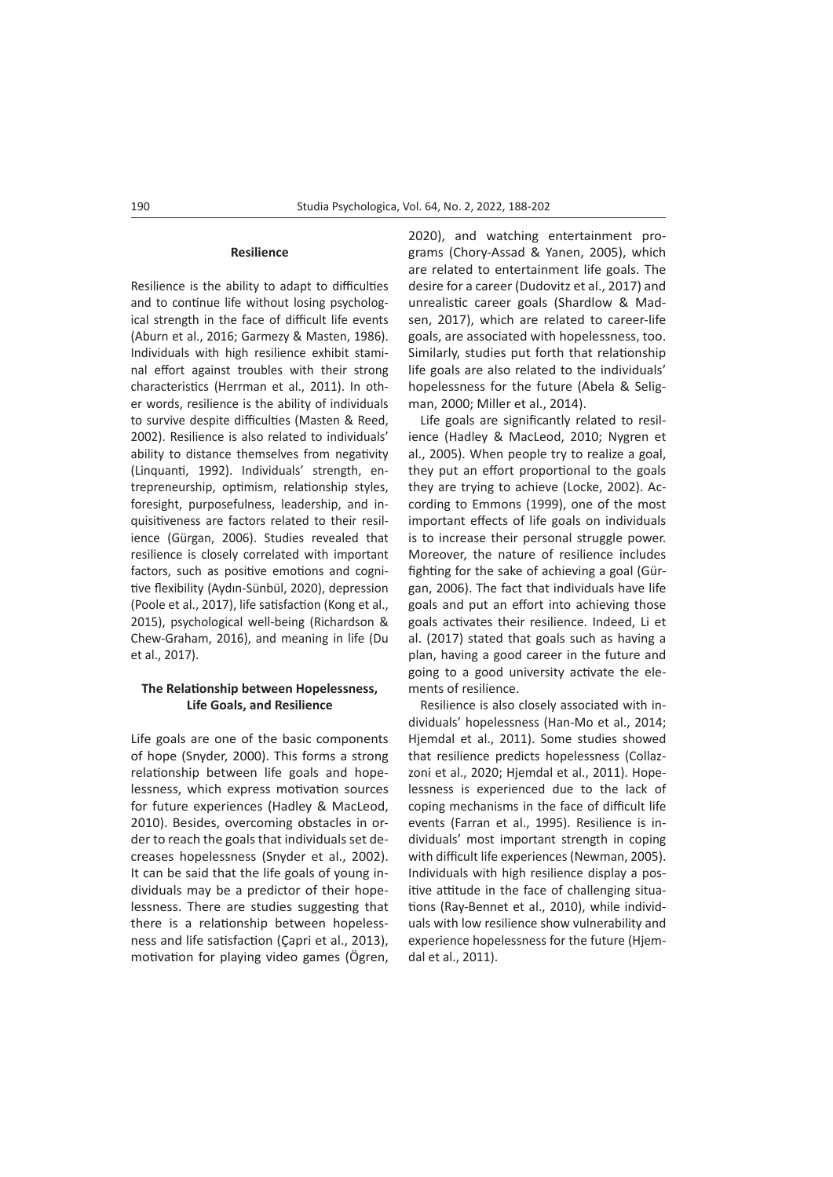#### **Resilience**

Resilience is the ability to adapt to difficulties and to continue life without losing psychological strength in the face of difficult life events (Aburn et al., 2016; Garmezy & Masten, 1986). Individuals with high resilience exhibit staminal effort against troubles with their strong characteristics (Herrman et al., 2011). In other words, resilience is the ability of individuals to survive despite difficulties (Masten & Reed, 2002). Resilience is also related to individuals' ability to distance themselves from negativity (Linquanti, 1992). Individuals' strength, entrepreneurship, optimism, relationship styles, foresight, purposefulness, leadership, and inquisitiveness are factors related to their resilience (Gürgan, 2006). Studies revealed that resilience is closely correlated with important factors, such as positive emotions and cognitive flexibility (Aydın-Sünbül, 2020), depression (Poole et al., 2017), life satisfaction (Kong et al., 2015), psychological well-being (Richardson & Chew-Graham, 2016), and meaning in life (Du et al., 2017).

# **The Relationship between Hopelessness, Life Goals, and Resilience**

Life goals are one of the basic components of hope (Snyder, 2000). This forms a strong relationship between life goals and hopelessness, which express motivation sources for future experiences (Hadley & MacLeod, 2010). Besides, overcoming obstacles in order to reach the goals that individuals set decreases hopelessness (Snyder et al., 2002). It can be said that the life goals of young individuals may be a predictor of their hopelessness. There are studies suggesting that there is a relationship between hopelessness and life satisfaction (Çapri et al., 2013), motivation for playing video games (Ögren,

2020), and watching entertainment programs (Chory-Assad & Yanen, 2005), which are related to entertainment life goals. The desire for a career (Dudovitz et al., 2017) and unrealistic career goals (Shardlow & Madsen, 2017), which are related to career-life goals, are associated with hopelessness, too. Similarly, studies put forth that relationship life goals are also related to the individuals' hopelessness for the future (Abela & Seligman, 2000; Miller et al., 2014).

Life goals are significantly related to resilience (Hadley & MacLeod, 2010; Nygren et al., 2005). When people try to realize a goal, they put an effort proportional to the goals they are trying to achieve (Locke, 2002). According to Emmons (1999), one of the most important effects of life goals on individuals is to increase their personal struggle power. Moreover, the nature of resilience includes fighting for the sake of achieving a goal (Gürgan, 2006). The fact that individuals have life goals and put an effort into achieving those goals activates their resilience. Indeed, Li et al. (2017) stated that goals such as having a plan, having a good career in the future and going to a good university activate the elements of resilience.

Resilience is also closely associated with individuals' hopelessness (Han-Mo et al., 2014; Hjemdal et al., 2011). Some studies showed that resilience predicts hopelessness (Collazzoni et al., 2020; Hjemdal et al., 2011). Hopelessness is experienced due to the lack of coping mechanisms in the face of difficult life events (Farran et al., 1995). Resilience is individuals' most important strength in coping with difficult life experiences (Newman, 2005). Individuals with high resilience display a positive attitude in the face of challenging situations (Ray-Bennet et al., 2010), while individuals with low resilience show vulnerability and experience hopelessness for the future (Hjemdal et al., 2011).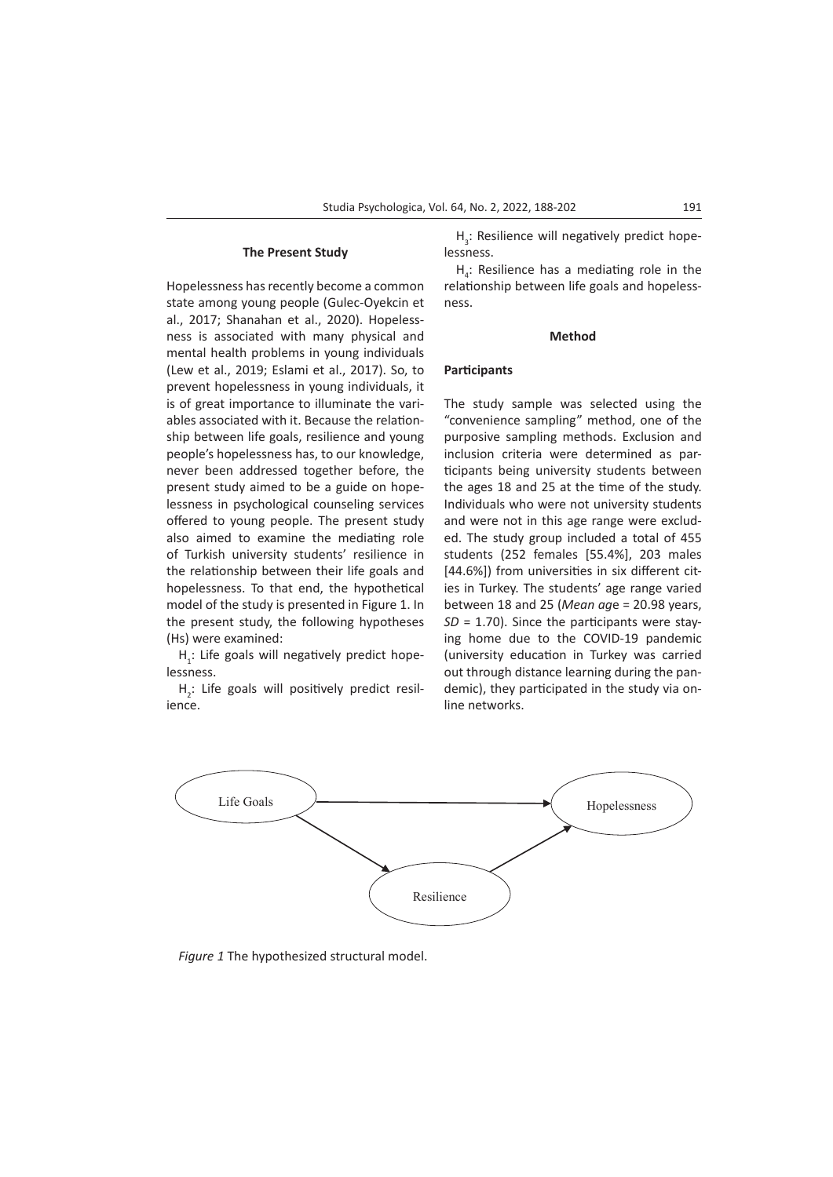## **The Present Study**

Hopelessness has recently become a common state among young people (Gulec-Oyekcin et al., 2017; Shanahan et al., 2020). Hopelessness is associated with many physical and mental health problems in young individuals (Lew et al., 2019; Eslami et al., 2017). So, to prevent hopelessness in young individuals, it is of great importance to illuminate the variables associated with it. Because the relationship between life goals, resilience and young people's hopelessness has, to our knowledge, never been addressed together before, the present study aimed to be a guide on hopelessness in psychological counseling services offered to young people. The present study also aimed to examine the mediating role of Turkish university students' resilience in the relationship between their life goals and hopelessness. To that end, the hypothetical model of the study is presented in Figure 1. In the present study, the following hypotheses (Hs) were examined:

 $H_i$ : Life goals will negatively predict hopelessness.

 $H_2$ : Life goals will positively predict resilience.

 $H_3$ : Resilience will negatively predict hopelessness.

 $H_4$ : Resilience has a mediating role in the relationship between life goals and hopelessness.

#### **Method**

## **Participants**

The study sample was selected using the "convenience sampling" method, one of the purposive sampling methods. Exclusion and inclusion criteria were determined as participants being university students between the ages 18 and 25 at the time of the study. Individuals who were not university students and were not in this age range were excluded. The study group included a total of 455 students (252 females [55.4%], 203 males [44.6%]) from universities in six different cities in Turkey. The students' age range varied between 18 and 25 (*Mean ag*e = 20.98 years, *SD* = 1.70). Since the participants were staying home due to the COVID-19 pandemic (university education in Turkey was carried out through distance learning during the pandemic), they participated in the study via online networks.



*Figure 1* The hypothesized structural model.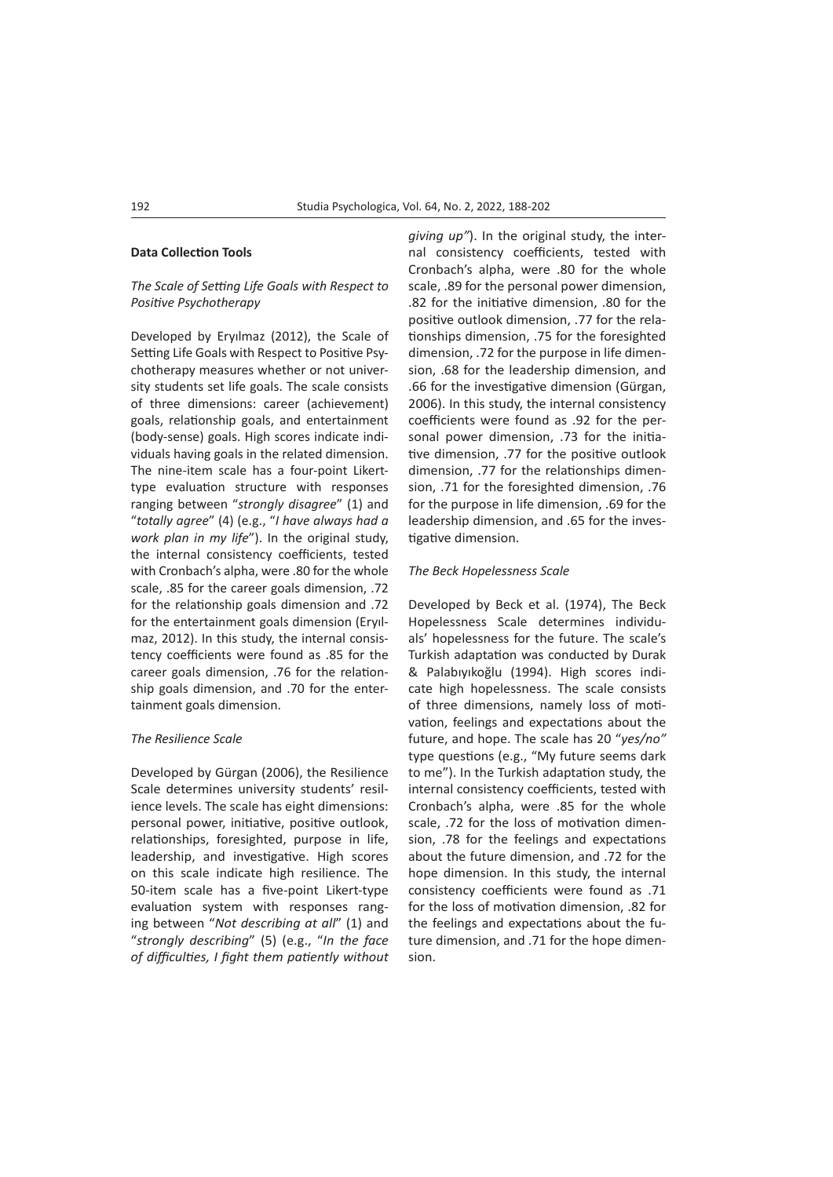# **Data Collection Tools**

# *The Scale of Setting Life Goals with Respect to Positive Psychotherapy*

Developed by Eryılmaz (2012), the Scale of Setting Life Goals with Respect to Positive Psychotherapy measures whether or not university students set life goals. The scale consists of three dimensions: career (achievement) goals, relationship goals, and entertainment (body-sense) goals. High scores indicate individuals having goals in the related dimension. The nine-item scale has a four-point Likerttype evaluation structure with responses ranging between "*strongly disagree*" (1) and "*totally agree*" (4) (e.g., "*I have always had a work plan in my life*"). In the original study, the internal consistency coefficients, tested with Cronbach's alpha, were .80 for the whole scale, .85 for the career goals dimension, .72 for the relationship goals dimension and .72 for the entertainment goals dimension (Eryılmaz, 2012). In this study, the internal consistency coefficients were found as .85 for the career goals dimension, .76 for the relationship goals dimension, and .70 for the entertainment goals dimension.

# *The Resilience Scale*

Developed by Gürgan (2006), the Resilience Scale determines university students' resilience levels. The scale has eight dimensions: personal power, initiative, positive outlook, relationships, foresighted, purpose in life, leadership, and investigative. High scores on this scale indicate high resilience. The 50-item scale has a five-point Likert-type evaluation system with responses ranging between "*Not describing at all*" (1) and "*strongly describing*" (5) (e.g., "*In the face of difficulties, I fight them patiently without*  *giving up"*). In the original study, the internal consistency coefficients, tested with Cronbach's alpha, were .80 for the whole scale, .89 for the personal power dimension, .82 for the initiative dimension, .80 for the positive outlook dimension, .77 for the relationships dimension, .75 for the foresighted dimension, .72 for the purpose in life dimension, .68 for the leadership dimension, and .66 for the investigative dimension (Gürgan, 2006). In this study, the internal consistency coefficients were found as .92 for the personal power dimension, .73 for the initiative dimension, .77 for the positive outlook dimension, .77 for the relationships dimension, .71 for the foresighted dimension, .76 for the purpose in life dimension, .69 for the leadership dimension, and .65 for the investigative dimension.

## *The Beck Hopelessness Scale*

Developed by Beck et al. (1974), The Beck Hopelessness Scale determines individuals' hopelessness for the future. The scale's Turkish adaptation was conducted by Durak & Palabıyıkoğlu (1994). High scores indicate high hopelessness. The scale consists of three dimensions, namely loss of motivation, feelings and expectations about the future, and hope. The scale has 20 "*yes/no"*  type questions (e.g., "My future seems dark to me"). In the Turkish adaptation study, the internal consistency coefficients, tested with Cronbach's alpha, were .85 for the whole scale, .72 for the loss of motivation dimension, .78 for the feelings and expectations about the future dimension, and .72 for the hope dimension. In this study, the internal consistency coefficients were found as .71 for the loss of motivation dimension, .82 for the feelings and expectations about the future dimension, and .71 for the hope dimension.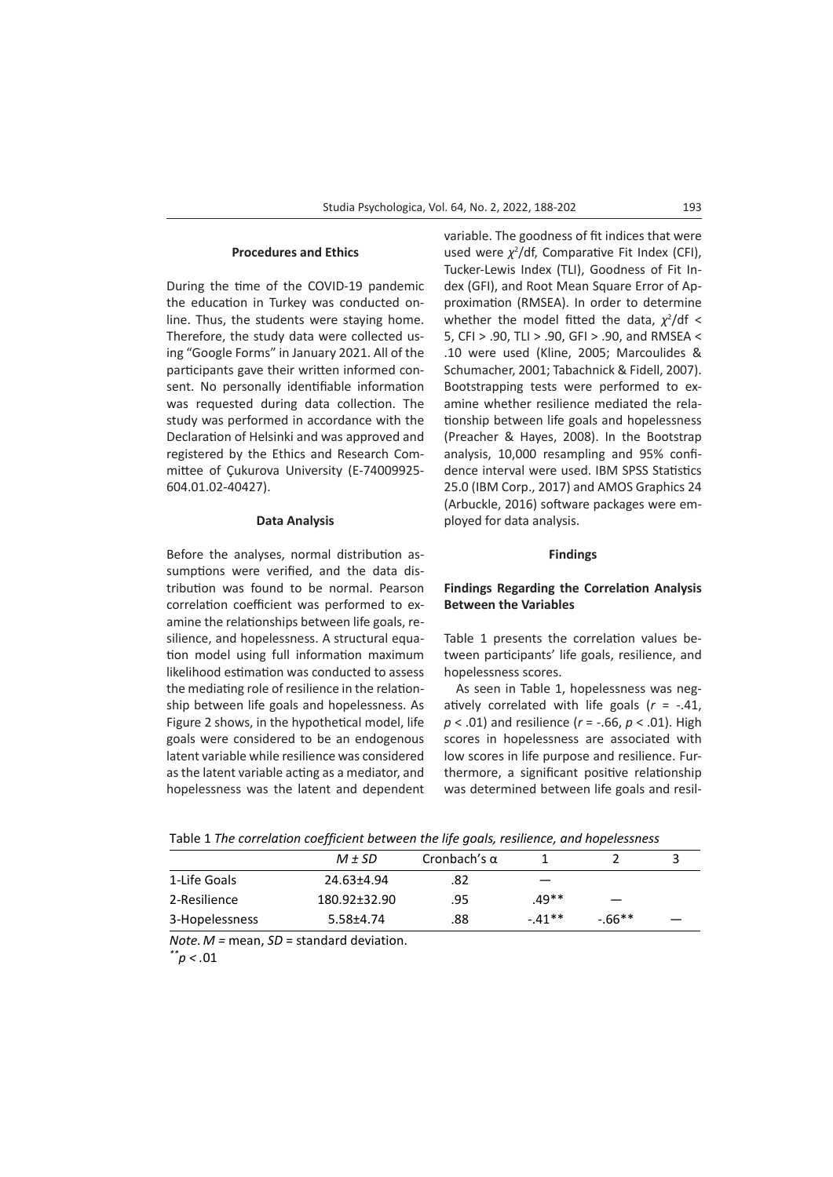#### **Procedures and Ethics**

During the time of the COVID-19 pandemic the education in Turkey was conducted online. Thus, the students were staying home. Therefore, the study data were collected using "Google Forms" in January 2021. All of the participants gave their written informed consent. No personally identifiable information was requested during data collection. The study was performed in accordance with the Declaration of Helsinki and was approved and registered by the Ethics and Research Committee of Çukurova University (E-74009925- 604.01.02-40427).

#### **Data Analysis**

Before the analyses, normal distribution assumptions were verified, and the data distribution was found to be normal. Pearson correlation coefficient was performed to examine the relationships between life goals, resilience, and hopelessness. A structural equation model using full information maximum likelihood estimation was conducted to assess the mediating role of resilience in the relationship between life goals and hopelessness. As Figure 2 shows, in the hypothetical model, life goals were considered to be an endogenous latent variable while resilience was considered as the latent variable acting as a mediator, and hopelessness was the latent and dependent variable. The goodness of fit indices that were used were  $\chi^2$ /df, Comparative Fit Index (CFI), Tucker-Lewis Index (TLI), Goodness of Fit Index (GFI), and Root Mean Square Error of Approximation (RMSEA). In order to determine whether the model fitted the data,  $\chi^2$ /df < 5, CFI > .90, TLI > .90, GFI > .90, and RMSEA < .10 were used (Kline, 2005; Marcoulides & Schumacher, 2001; Tabachnick & Fidell, 2007). Bootstrapping tests were performed to examine whether resilience mediated the relationship between life goals and hopelessness (Preacher & Hayes, 2008). In the Bootstrap analysis, 10,000 resampling and 95% confidence interval were used. IBM SPSS Statistics 25.0 (IBM Corp., 2017) and AMOS Graphics 24 (Arbuckle, 2016) software packages were employed for data analysis.

## **Findings**

# **Findings Regarding the Correlation Analysis Between the Variables**

Table 1 presents the correlation values between participants' life goals, resilience, and hopelessness scores.

As seen in Table 1, hopelessness was negatively correlated with life goals (*r* = -.41, *p* < .01) and resilience (*r* = -.66, *p* < .01). High scores in hopelessness are associated with low scores in life purpose and resilience. Furthermore, a significant positive relationship was determined between life goals and resil-

|                | $M \pm SD$   | Cronbach's $\alpha$ |         |         |  |
|----------------|--------------|---------------------|---------|---------|--|
| 1-Life Goals   | 24.63±4.94   | .82                 |         |         |  |
| 2-Resilience   | 180.92±32.90 | .95                 | $.49**$ |         |  |
| 3-Hopelessness | 5.58±4.74    | .88                 | $-41**$ | $-66**$ |  |

*Note. M =* mean, *SD* = standard deviation. *\*\*p < .*01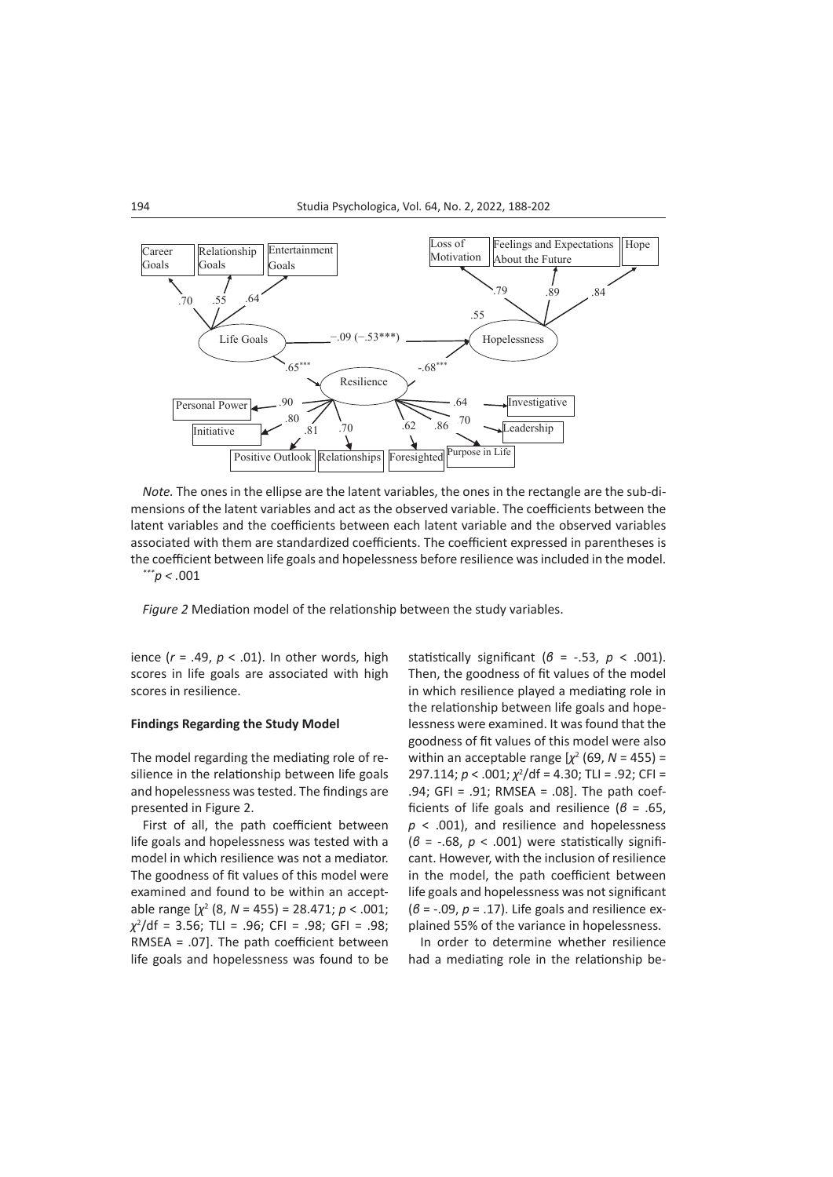

*Note.* The ones in the ellipse are the latent variables, the ones in the rectangle are the sub-dimensions of the latent variables and act as the observed variable. The coefficients between the latent variables and the coefficients between each latent variable and the observed variables associated with them are standardized coefficients. The coefficient expressed in parentheses is the coefficient between life goals and hopelessness before resilience was included in the model.

*\*\*\*p < .*001

*Figure 2* Mediation model of the relationship between the study variables.

ience (*r* = .49, *p* < .01). In other words, high scores in life goals are associated with high scores in resilience.

## **Findings Regarding the Study Model**

The model regarding the mediating role of resilience in the relationship between life goals and hopelessness was tested. The findings are presented in Figure 2.

First of all, the path coefficient between life goals and hopelessness was tested with a model in which resilience was not a mediator. The goodness of fit values of this model were examined and found to be within an acceptable range [*χ*<sup>2</sup> (8, *N* = 455) = 28.471; *p* < .001; *χ*2 /df = 3.56; TLI = .96; CFI = .98; GFI = .98; RMSEA = .07]. The path coefficient between life goals and hopelessness was found to be

statistically significant ( $\beta$  = -.53,  $p$  < .001). Then, the goodness of fit values of the model in which resilience played a mediating role in the relationship between life goals and hopelessness were examined. It was found that the goodness of fit values of this model were also within an acceptable range  $[\chi^2]$  (69,  $N = 455$ ) = 297.114; *p* < .001;  $\chi^2$ /df = 4.30; TLI = .92; CFI = .94; GFI = .91; RMSEA = .08]. The path coefficients of life goals and resilience (*β* = .65, *p* < .001), and resilience and hopelessness (*β* = -.68, *p* < .001) were statistically significant. However, with the inclusion of resilience in the model, the path coefficient between life goals and hopelessness was not significant (*β* = -.09, *p* = .17). Life goals and resilience explained 55% of the variance in hopelessness.

In order to determine whether resilience had a mediating role in the relationship be-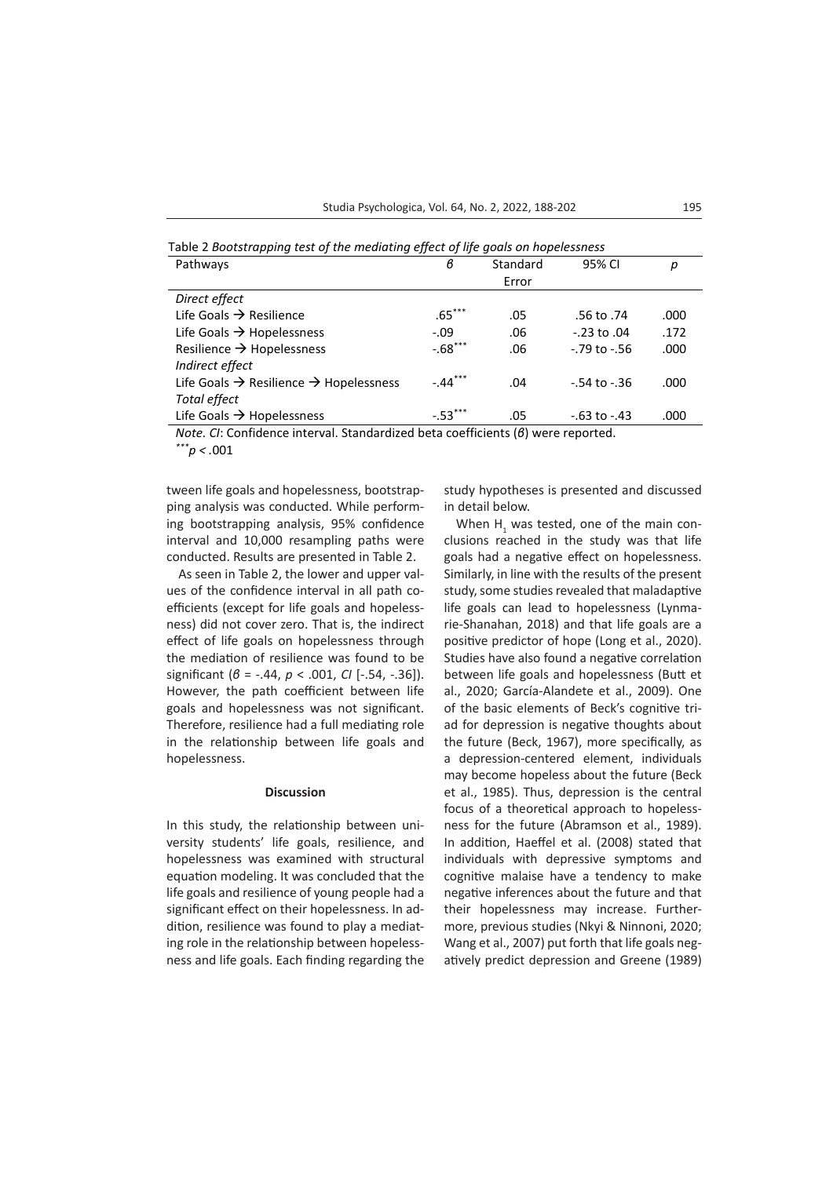Table 2 *Bootstrapping test of the mediating effect of life goals on hopelessness*

| Pathways                                                       | в         | Standard | 95% CI            | р    |
|----------------------------------------------------------------|-----------|----------|-------------------|------|
|                                                                |           | Error    |                   |      |
| Direct effect                                                  |           |          |                   |      |
| Life Goals $\rightarrow$ Resilience                            | $.65***$  | .05      | .56 to .74        | .000 |
| Life Goals $\rightarrow$ Hopelessness                          | $-.09$    | .06      | $-0.23$ to $0.04$ | .172 |
| Resilience $\rightarrow$ Hopelessness                          | $-.68***$ | .06      | $-79$ to $-56$    | .000 |
| Indirect effect                                                |           |          |                   |      |
| Life Goals $\rightarrow$ Resilience $\rightarrow$ Hopelessness | $-.44***$ | .04      | $-54$ to $-36$    | .000 |
| Total effect                                                   |           |          |                   |      |
| Life Goals $\rightarrow$ Hopelessness                          | $-.53***$ | .05      | $-63$ to $-43$    | .000 |

*Note. CI*: Confidence interval. Standardized beta coefficients (*β*) were reported.

*\*\*\*p < .*001

tween life goals and hopelessness, bootstrapping analysis was conducted. While performing bootstrapping analysis, 95% confidence interval and 10,000 resampling paths were conducted. Results are presented in Table 2.

As seen in Table 2, the lower and upper values of the confidence interval in all path coefficients (except for life goals and hopelessness) did not cover zero. That is, the indirect effect of life goals on hopelessness through the mediation of resilience was found to be significant (*β* = -.44, *p* < .001, *CI* [-.54, -.36]). However, the path coefficient between life goals and hopelessness was not significant. Therefore, resilience had a full mediating role in the relationship between life goals and hopelessness.

## **Discussion**

In this study, the relationship between university students' life goals, resilience, and hopelessness was examined with structural equation modeling. It was concluded that the life goals and resilience of young people had a significant effect on their hopelessness. In addition, resilience was found to play a mediating role in the relationship between hopelessness and life goals. Each finding regarding the study hypotheses is presented and discussed in detail below.

When  $H_1$  was tested, one of the main conclusions reached in the study was that life goals had a negative effect on hopelessness. Similarly, in line with the results of the present study, some studies revealed that maladaptive life goals can lead to hopelessness (Lynmarie-Shanahan, 2018) and that life goals are a positive predictor of hope (Long et al., 2020). Studies have also found a negative correlation between life goals and hopelessness (Butt et al., 2020; García-Alandete et al., 2009). One of the basic elements of Beck's cognitive triad for depression is negative thoughts about the future (Beck, 1967), more specifically, as a depression-centered element, individuals may become hopeless about the future (Beck et al., 1985). Thus, depression is the central focus of a theoretical approach to hopelessness for the future (Abramson et al., 1989). In addition, Haeffel et al. (2008) stated that individuals with depressive symptoms and cognitive malaise have a tendency to make negative inferences about the future and that their hopelessness may increase. Furthermore, previous studies (Nkyi & Ninnoni, 2020; Wang et al., 2007) put forth that life goals negatively predict depression and Greene (1989)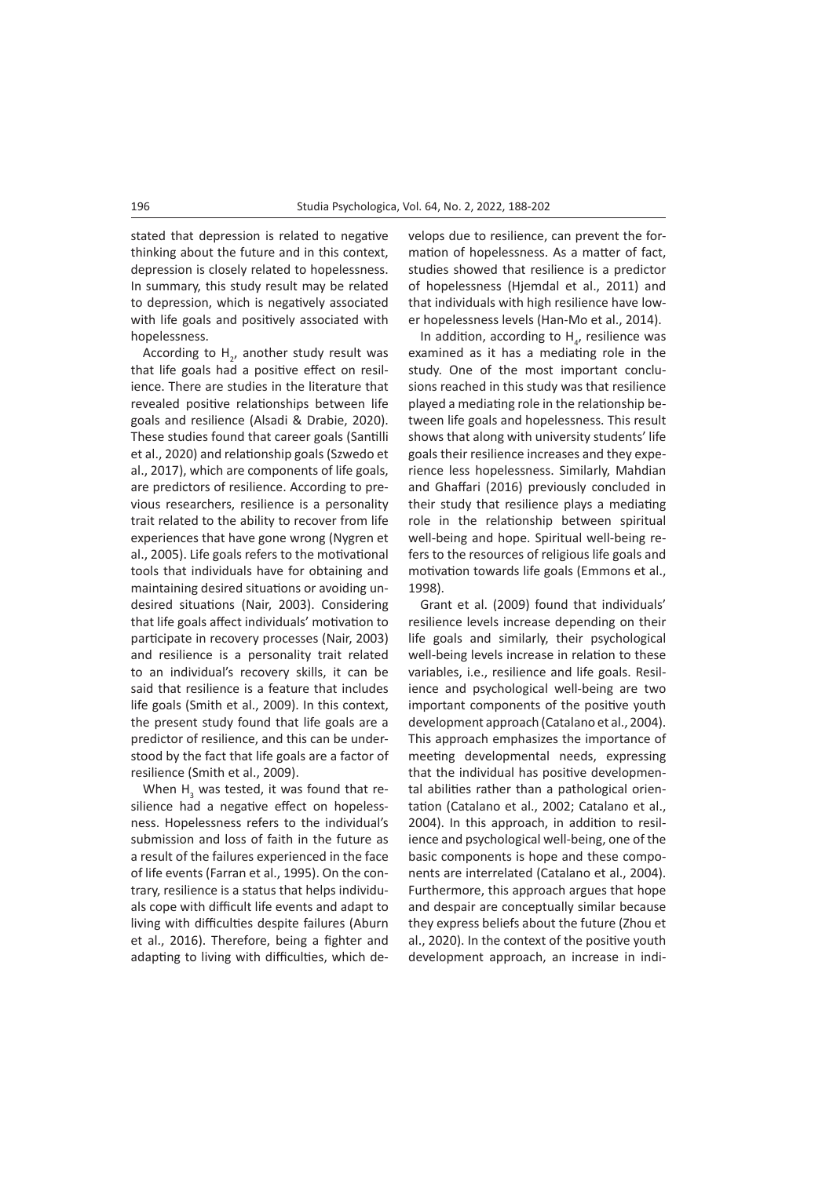stated that depression is related to negative thinking about the future and in this context, depression is closely related to hopelessness. In summary, this study result may be related to depression, which is negatively associated with life goals and positively associated with hopelessness.

According to  $H_{2}$ , another study result was that life goals had a positive effect on resilience. There are studies in the literature that revealed positive relationships between life goals and resilience (Alsadi & Drabie, 2020). These studies found that career goals (Santilli et al., 2020) and relationship goals (Szwedo et al., 2017), which are components of life goals, are predictors of resilience. According to previous researchers, resilience is a personality trait related to the ability to recover from life experiences that have gone wrong (Nygren et al., 2005). Life goals refers to the motivational tools that individuals have for obtaining and maintaining desired situations or avoiding undesired situations (Nair, 2003). Considering that life goals affect individuals' motivation to participate in recovery processes (Nair, 2003) and resilience is a personality trait related to an individual's recovery skills, it can be said that resilience is a feature that includes life goals (Smith et al., 2009). In this context, the present study found that life goals are a predictor of resilience, and this can be understood by the fact that life goals are a factor of resilience (Smith et al., 2009).

When  $H_3$  was tested, it was found that resilience had a negative effect on hopelessness. Hopelessness refers to the individual's submission and loss of faith in the future as a result of the failures experienced in the face of life events (Farran et al., 1995). On the contrary, resilience is a status that helps individuals cope with difficult life events and adapt to living with difficulties despite failures (Aburn et al., 2016). Therefore, being a fighter and adapting to living with difficulties, which develops due to resilience, can prevent the formation of hopelessness. As a matter of fact, studies showed that resilience is a predictor of hopelessness (Hjemdal et al., 2011) and that individuals with high resilience have lower hopelessness levels (Han-Mo et al., 2014).

In addition, according to  $H_{\alpha}$ , resilience was examined as it has a mediating role in the study. One of the most important conclusions reached in this study was that resilience played a mediating role in the relationship between life goals and hopelessness. This result shows that along with university students' life goals their resilience increases and they experience less hopelessness. Similarly, Mahdian and Ghaffari (2016) previously concluded in their study that resilience plays a mediating role in the relationship between spiritual well-being and hope. Spiritual well-being refers to the resources of religious life goals and motivation towards life goals (Emmons et al., 1998).

Grant et al. (2009) found that individuals' resilience levels increase depending on their life goals and similarly, their psychological well-being levels increase in relation to these variables, i.e., resilience and life goals. Resilience and psychological well-being are two important components of the positive youth development approach (Catalano et al., 2004). This approach emphasizes the importance of meeting developmental needs, expressing that the individual has positive developmental abilities rather than a pathological orientation (Catalano et al., 2002; Catalano et al., 2004). In this approach, in addition to resilience and psychological well-being, one of the basic components is hope and these components are interrelated (Catalano et al., 2004). Furthermore, this approach argues that hope and despair are conceptually similar because they express beliefs about the future (Zhou et al., 2020). In the context of the positive youth development approach, an increase in indi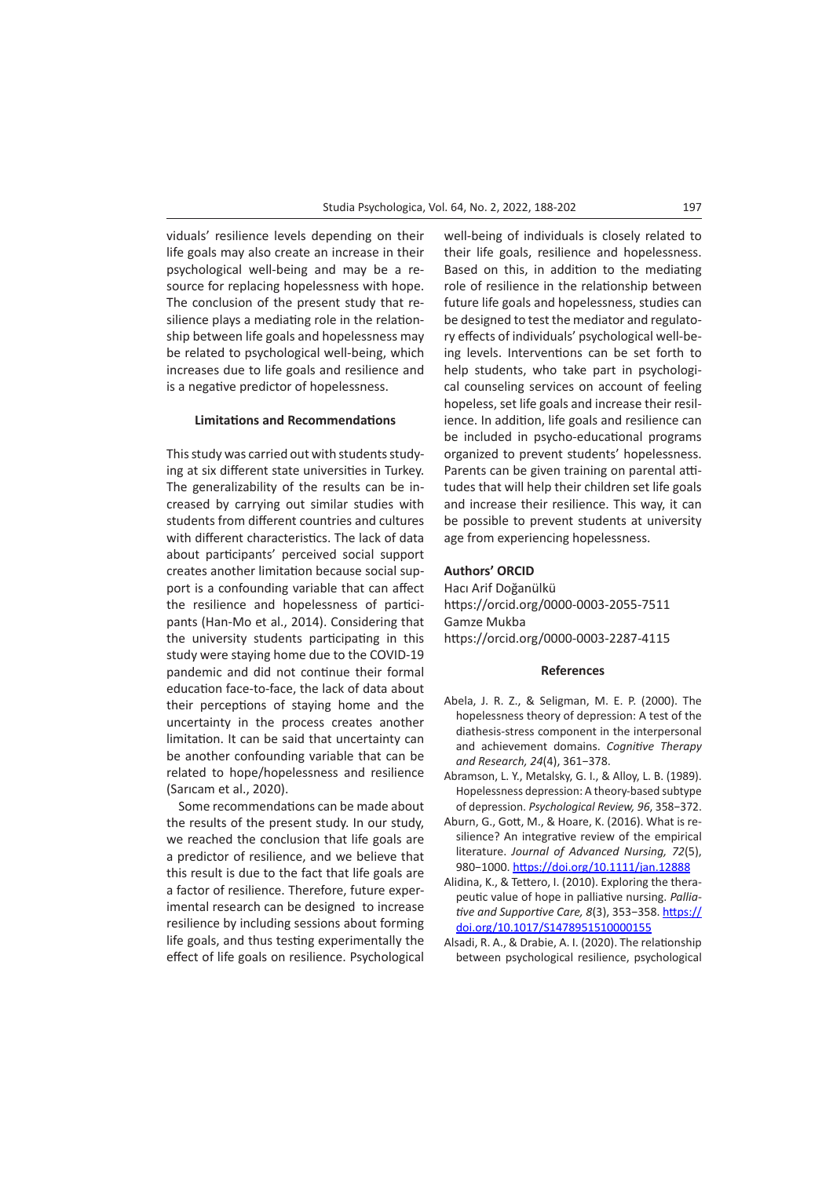viduals' resilience levels depending on their life goals may also create an increase in their psychological well-being and may be a resource for replacing hopelessness with hope. The conclusion of the present study that resilience plays a mediating role in the relationship between life goals and hopelessness may be related to psychological well-being, which increases due to life goals and resilience and is a negative predictor of hopelessness.

## **Limitations and Recommendations**

This study was carried out with students studying at six different state universities in Turkey. The generalizability of the results can be increased by carrying out similar studies with students from different countries and cultures with different characteristics. The lack of data about participants' perceived social support creates another limitation because social support is a confounding variable that can affect the resilience and hopelessness of participants (Han-Mo et al., 2014). Considering that the university students participating in this study were staying home due to the COVID-19 pandemic and did not continue their formal education face-to-face, the lack of data about their perceptions of staying home and the uncertainty in the process creates another limitation. It can be said that uncertainty can be another confounding variable that can be related to hope/hopelessness and resilience (Sarıcam et al., 2020).

Some recommendations can be made about the results of the present study. In our study, we reached the conclusion that life goals are a predictor of resilience, and we believe that this result is due to the fact that life goals are a factor of resilience. Therefore, future experimental research can be designed to increase resilience by including sessions about forming life goals, and thus testing experimentally the effect of life goals on resilience. Psychological

well-being of individuals is closely related to their life goals, resilience and hopelessness. Based on this, in addition to the mediating role of resilience in the relationship between future life goals and hopelessness, studies can be designed to test the mediator and regulatory effects of individuals' psychological well-being levels. Interventions can be set forth to help students, who take part in psychological counseling services on account of feeling hopeless, set life goals and increase their resilience. In addition, life goals and resilience can be included in psycho-educational programs organized to prevent students' hopelessness. Parents can be given training on parental attitudes that will help their children set life goals and increase their resilience. This way, it can be possible to prevent students at university age from experiencing hopelessness.

## **Authors' ORCID**

Hacı Arif Doğanülkü https://orcid.org/0000-0003-2055-7511 Gamze Mukba https://orcid.org/0000-0003-2287-4115

#### **References**

- Abela, J. R. Z., & Seligman, M. E. P. (2000). The hopelessness theory of depression: A test of the diathesis-stress component in the interpersonal and achievement domains. *Cognitive Therapy and Research, 24*(4), 361−378.
- Abramson, L. Y., Metalsky, G. I., & Alloy, L. B. (1989). Hopelessness depression: A theory-based subtype of depression. *Psychological Review, 96*, 358−372.
- Aburn, G., Gott, M., & Hoare, K. (2016). What is resilience? An integrative review of the empirical literature. *Journal of Advanced Nursing, 72*(5), 980−1000. <https://doi.org/10.1111/jan.12888>
- Alidina, K., & Tettero, I. (2010). Exploring the therapeutic value of hope in palliative nursing. *Palliative and Supportive Care, 8*(3), 353−358. [https://](https://doi.org/10.1017/S1478951510000155) [doi.org/10.1017/S1478951510000155](https://doi.org/10.1017/S1478951510000155)
- Alsadi, R. A., & Drabie, A. I. (2020). The relationship between psychological resilience, psychological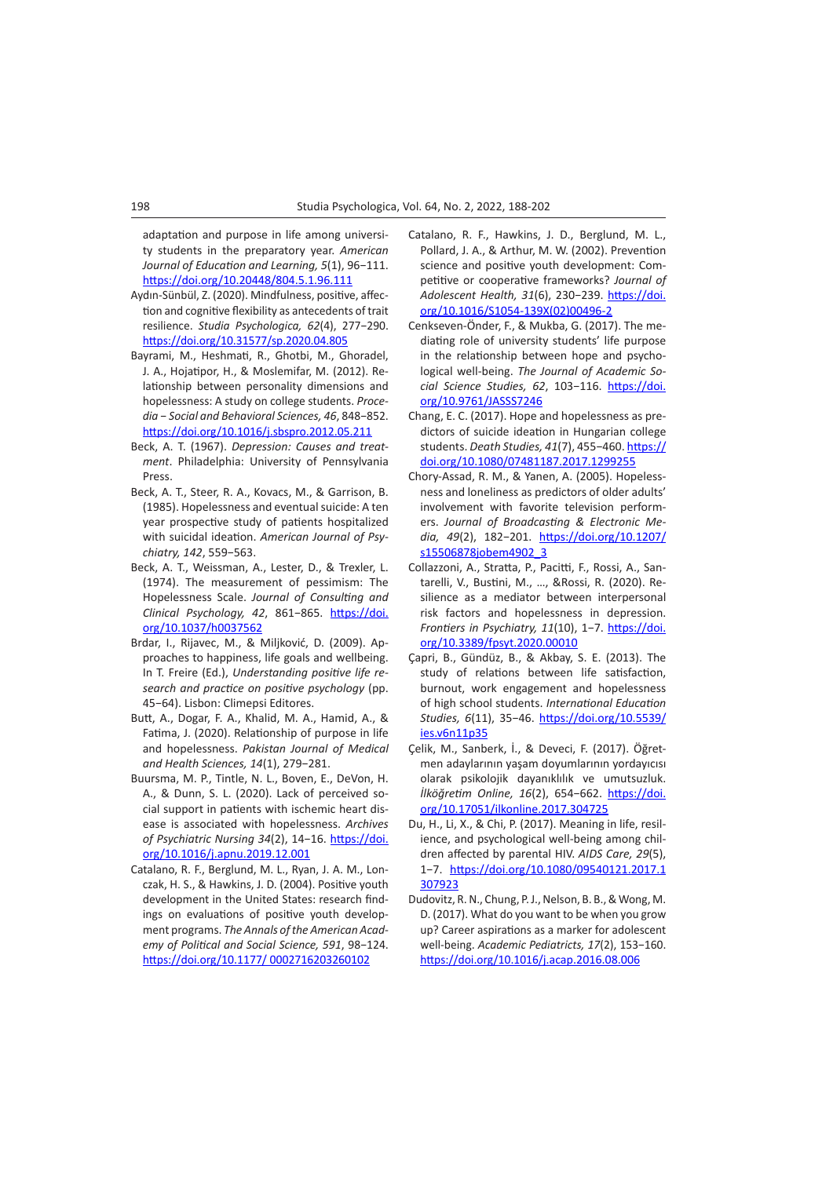adaptation and purpose in life among university students in the preparatory year. *American Journal of Education and Learning, 5*(1), 96−111. [https://doi.org/10.20448/804.5.1.96.111](https://doi.org/10.20448/804.5.1.96.111%20)

- Aydın-Sünbül, Z. (2020). Mindfulness, positive, affection and cognitive flexibility as antecedents of trait resilience. *Studia Psychologica, 62*(4), 277−290. <https://doi.org/10.31577/sp.2020.04.805>
- Bayrami, M., Heshmati, R., Ghotbi, M., Ghoradel, J. A., Hojatipor, H., & Moslemifar, M. (2012). Relationship between personality dimensions and hopelessness: A study on college students. *Procedia* − *Social and Behavioral Sciences, 46*, 848−852. <https://doi.org/10.1016/j.sbspro.2012.05.211>
- Beck, A. T. (1967). *Depression: Causes and treatment*. Philadelphia: University of Pennsylvania Press.
- Beck, A. T., Steer, R. A., Kovacs, M., & Garrison, B. (1985). Hopelessness and eventual suicide: A ten year prospective study of patients hospitalized with suicidal ideation. *American Journal of Psychiatry, 142*, 559−563.
- Beck, A. T., Weissman, A., Lester, D., & Trexler, L. (1974). The measurement of pessimism: The Hopelessness Scale. *Journal of Consulting and Clinical Psychology, 42*, 861−865. [https://doi.](https://doi.apa.org/doi/10.1037/h0037562) [org/10.1037/h0037562](https://doi.apa.org/doi/10.1037/h0037562)
- Brdar, I., Rijavec, M., & Miljković, D. (2009). Approaches to happiness, life goals and wellbeing. In T. Freire (Ed.), *Understanding positive life research and practice on positive psychology* (pp. 45−64). Lisbon: Climepsi Editores.
- Butt, A., Dogar, F. A., Khalid, M. A., Hamid, A., & Fatima, J. (2020). Relationship of purpose in life and hopelessness. *Pakistan Journal of Medical and Health Sciences, 14*(1), 279−281.
- Buursma, M. P., Tintle, N. L., Boven, E., DeVon, H. A., & Dunn, S. L. (2020). Lack of perceived social support in patients with ischemic heart disease is associated with hopelessness. *Archives of Psychiatric Nursing 34*(2), 14−16. [https://doi.](https://doi.org/10.1016/j.apnu.2019.12.001) [org/10.1016/j.apnu.2019.12.001](https://doi.org/10.1016/j.apnu.2019.12.001)
- Catalano, R. F., Berglund, M. L., Ryan, J. A. M., Lonczak, H. S., & Hawkins, J. D. (2004). Positive youth development in the United States: research findings on evaluations of positive youth development programs. *The Annals of the American Academy of Political and Social Science, 591*, 98−124. [https://doi.org/10.1177/ 0002716203260102](https://doi.org/10.1177/%200002716203260102)
- Catalano, R. F., Hawkins, J. D., Berglund, M. L., Pollard, J. A., & Arthur, M. W. (2002). Prevention science and positive youth development: Competitive or cooperative frameworks? *Journal of Adolescent Health, 31*(6), 230−239. [https://doi.](https://doi.org/10.1016/S1054-139X(02)00496-2) [org/10.1016/S1054-139X\(02\)00496-2](https://doi.org/10.1016/S1054-139X(02)00496-2)
- Cenkseven-Önder, F., & Mukba, G. (2017). The mediating role of university students' life purpose in the relationship between hope and psychological well-being. *The Journal of Academic Social Science Studies, 62*, 103−116. [https://doi.](https://doi.org/10.9761/JASSS7246) [org/10.9761/JASSS7246](https://doi.org/10.9761/JASSS7246)
- Chang, E. C. (2017). Hope and hopelessness as predictors of suicide ideation in Hungarian college students. *Death Studies, 41*(7), 455−460. [https://](https://doi.org/10.1080/07481187.2017.1299255) [doi.org/10.1080/07481187.2017.1299255](https://doi.org/10.1080/07481187.2017.1299255)
- Chory-Assad, R. M., & Yanen, A. (2005). Hopelessness and loneliness as predictors of older adults' involvement with favorite television performers. *Journal of Broadcasting & Electronic Media, 49*(2), 182−201. [https://doi.org/10.1207/](https://doi.org/10.1207/s15506878jobem4902_3) [s15506878jobem4902\\_3](https://doi.org/10.1207/s15506878jobem4902_3)
- Collazzoni, A., Stratta, P., Pacitti, F., Rossi, A., Santarelli, V., Bustini, M., …, &Rossi, R. (2020). Resilience as a mediator between interpersonal risk factors and hopelessness in depression. *Frontiers in Psychiatry, 11*(10), 1−7. [https://doi.](https://doi.org/10.3389/fpsyt.2020.00010) [org/10.3389/fpsyt.2020.00010](https://doi.org/10.3389/fpsyt.2020.00010)
- Çapri, B., Gündüz, B., & Akbay, S. E. (2013). The study of relations between life satisfaction, burnout, work engagement and hopelessness of high school students. *International Education Studies, 6*(11), 35−46. [https://doi.org/10.5539/](https://doi.org/10.5539/ies.v6n11p35) [ies.v6n11p35](https://doi.org/10.5539/ies.v6n11p35)
- Çelik, M., Sanberk, İ., & Deveci, F. (2017). Öğretmen adaylarının yaşam doyumlarının yordayıcısı olarak psikolojik dayanıklılık ve umutsuzluk. *İlköğretim Online, 16*(2), 654−662. [https://doi.](https://doi.org/10.17051/ilkonline.2017.304725%20) [org/10.17051/ilkonline.2017.304725](https://doi.org/10.17051/ilkonline.2017.304725%20)
- Du, H., Li, X., & Chi, P. (2017). Meaning in life, resilience, and psychological well-being among children affected by parental HIV. *AIDS Care, 29*(5), 1−7. [https://doi.org/10.1080/09540121.2017.1](https://doi.org/10.1080/09540121.2017.1307923) [307923](https://doi.org/10.1080/09540121.2017.1307923)
- Dudovitz, R. N., Chung, P. J., Nelson, B. B., & Wong, M. D. (2017). What do you want to be when you grow up? Career aspirations as a marker for adolescent well-being. *Academic Pediatricts, 17*(2), 153−160. <https://doi.org/10.1016/j.acap.2016.08.006>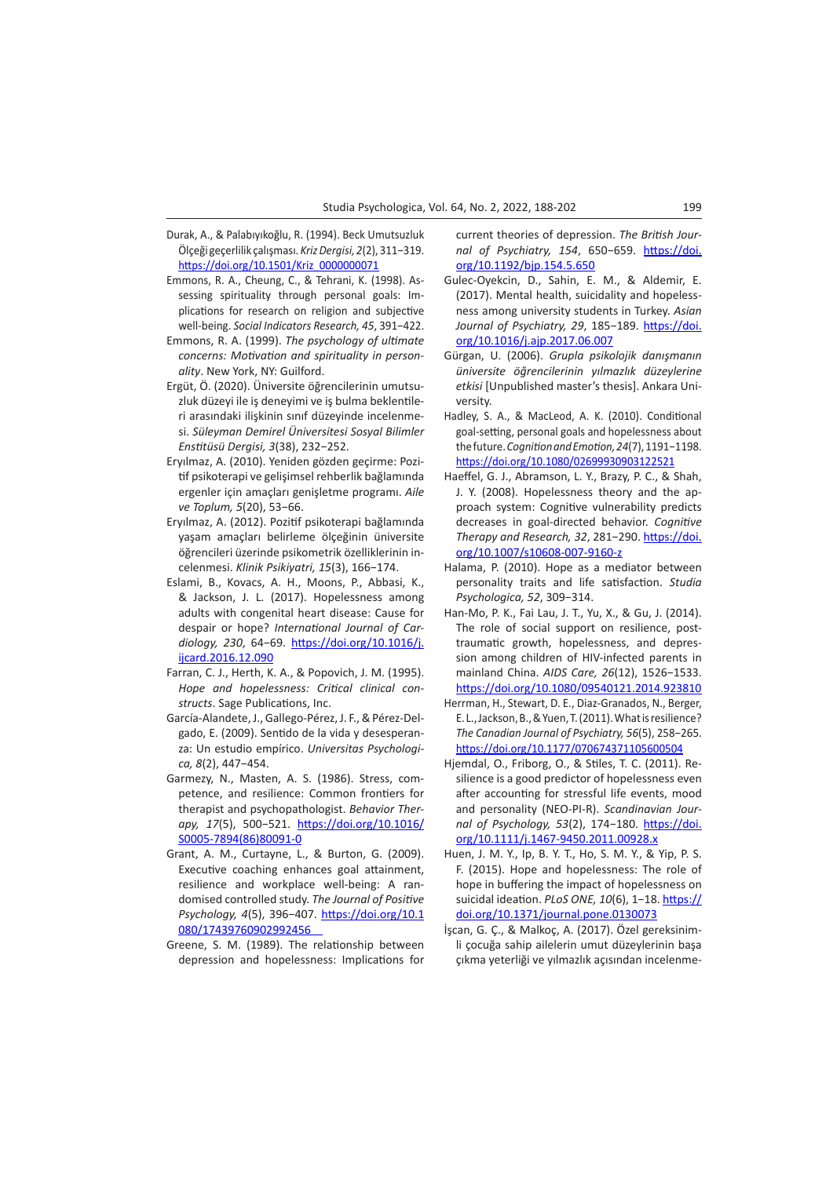- Durak, A., & Palabıyıkoğlu, R. (1994). Beck Umutsuzluk Ölçeği geçerlilik çalışması. *Kriz Dergisi, 2*(2), 311−319. [https://doi.org/10.1501/Kriz\\_0000000071](https://doi.org/10.1501/Kriz_0000000071)
- Emmons, R. A., Cheung, C., & Tehrani, K. (1998). Assessing spirituality through personal goals: Implications for research on religion and subjective well-being. *Social Indicators Research, 45*, 391−422.
- Emmons, R. A. (1999). *The psychology of ultimate concerns: Motivation and spirituality in personality*. New York, NY: Guilford.
- Ergüt, Ö. (2020). Üniversite öğrencilerinin umutsuzluk düzeyi ile iş deneyimi ve iş bulma beklentileri arasındaki ilişkinin sınıf düzeyinde incelenmesi. *Süleyman Demirel Üniversitesi Sosyal Bilimler Enstitüsü Dergisi, 3*(38), 232−252.
- Eryılmaz, A. (2010). Yeniden gözden geçirme: Pozitif psikoterapi ve gelişimsel rehberlik bağlamında ergenler için amaçları genişletme programı. *Aile ve Toplum, 5*(20), 53−66.
- Eryılmaz, A. (2012). Pozitif psikoterapi bağlamında yaşam amaçları belirleme ölçeğinin üniversite öğrencileri üzerinde psikometrik özelliklerinin incelenmesi. *Klinik Psikiyatri, 15*(3), 166−174.
- Eslami, B., Kovacs, A. H., Moons, P., Abbasi, K., & Jackson, J. L. (2017). Hopelessness among adults with congenital heart disease: Cause for despair or hope? *International Journal of Cardiology, 230*, 64−69. [https://doi.org/10.1016/j.](https://doi.org/10.1016/j.ijcard.2016.12.090) [ijcard.2016.12.090](https://doi.org/10.1016/j.ijcard.2016.12.090)
- Farran, C. J., Herth, K. A., & Popovich, J. M. (1995). *Hope and hopelessness: Critical clinical constructs*. Sage Publications, Inc.
- García-Alandete, J., Gallego-Pérez, J. F., & Pérez-Delgado, E. (2009). Sentido de la vida y desesperanza: Un estudio empírico. *Universitas Psychologica, 8*(2), 447−454.
- Garmezy, N., Masten, A. S. (1986). Stress, competence, and resilience: Common frontiers for therapist and psychopathologist. *Behavior Therapy, 17*(5), 500−521. [https://doi.org/10.1016/](https://doi.org/10.1016/S0005-7894(86)80091-0) [S0005-7894\(86\)80091-0](https://doi.org/10.1016/S0005-7894(86)80091-0)
- Grant, A. M., Curtayne, L., & Burton, G. (2009). Executive coaching enhances goal attainment, resilience and workplace well-being: A randomised controlled study. *The Journal of Positive Psychology, 4*(5), 396−407. [https://doi.org/10.1](https://doi.org/10.1080/17439760902992456%20%20%20%20%20) [080/17439760902992456](https://doi.org/10.1080/17439760902992456%20%20%20%20%20)
- Greene, S. M. (1989). The relationship between depression and hopelessness: Implications for

current theories of depression. *The British Journal of Psychiatry, 154*, 650−659. [https://doi.](https://doi.org/10.1192/bjp.154.5.650%20) [org/10.1192/bjp.154.5.650](https://doi.org/10.1192/bjp.154.5.650%20)

- Gulec-Oyekcin, D., Sahin, E. M., & Aldemir, E. (2017). Mental health, suicidality and hopelessness among university students in Turkey. *Asian Journal of Psychiatry, 29*, 185−189. [https://doi.](https://doi.org/10.1016/j.ajp.2017.06.007) [org/10.1016/j.ajp.2017.06.007](https://doi.org/10.1016/j.ajp.2017.06.007)
- Gürgan, U. (2006). *Grupla psikolojik danışmanın üniversite öğrencilerinin yılmazlık düzeylerine etkisi* [Unpublished master's thesis]. Ankara University.
- Hadley, S. A., & MacLeod, A. K. (2010). Conditional goal-setting, personal goals and hopelessness about the future. *Cognition and Emotion, 24*(7), 1191−1198. <https://doi.org/10.1080/02699930903122521>
- Haeffel, G. J., Abramson, L. Y., Brazy, P. C., & Shah, J. Y. (2008). Hopelessness theory and the approach system: Cognitive vulnerability predicts decreases in goal-directed behavior. *Cognitive Therapy and Research, 32*, 281−290. [https://doi.](https://doi.org/10.1007/s10608-007-9160-z%20) [org/10.1007/s10608-007-9160-z](https://doi.org/10.1007/s10608-007-9160-z%20)
- Halama, P. (2010). Hope as a mediator between personality traits and life satisfaction. *Studia Psychologica, 52*, 309−314.
- Han-Mo, P. K., Fai Lau, J. T., Yu, X., & Gu, J. (2014). The role of social support on resilience, posttraumatic growth, hopelessness, and depression among children of HIV-infected parents in mainland China. *AIDS Care, 26*(12), 1526−1533. <https://doi.org/10.1080/09540121.2014.923810>
- Herrman, H., Stewart, D. E., Diaz-Granados, N., Berger, E. L., Jackson, B., & Yuen, T. (2011). What is resilience? *The Canadian Journal of Psychiatry, 56*(5), 258−265. <https://doi.org/10.1177/070674371105600504>
- Hjemdal, O., Friborg, O., & Stiles, T. C. (2011). Resilience is a good predictor of hopelessness even after accounting for stressful life events, mood and personality (NEO-PI-R). *Scandinavian Journal of Psychology, 53*(2), 174−180. [https://doi.](https://doi.org/10.1111/j.1467-9450.2011.00928.x) [org/10.1111/j.1467-9450.2011.00928.x](https://doi.org/10.1111/j.1467-9450.2011.00928.x)
- Huen, J. M. Y., Ip, B. Y. T., Ho, S. M. Y., & Yip, P. S. F. (2015). Hope and hopelessness: The role of hope in buffering the impact of hopelessness on suicidal ideation. *PLoS ONE, 10*(6), 1−18. [https://](https://doi.org/10.1371/journal.pone.0130073) [doi.org/10.1371/journal.pone.0130073](https://doi.org/10.1371/journal.pone.0130073)
- İşcan, G. Ç., & Malkoç, A. (2017). Özel gereksinimli çocuğa sahip ailelerin umut düzeylerinin başa çıkma yeterliği ve yılmazlık açısından incelenme-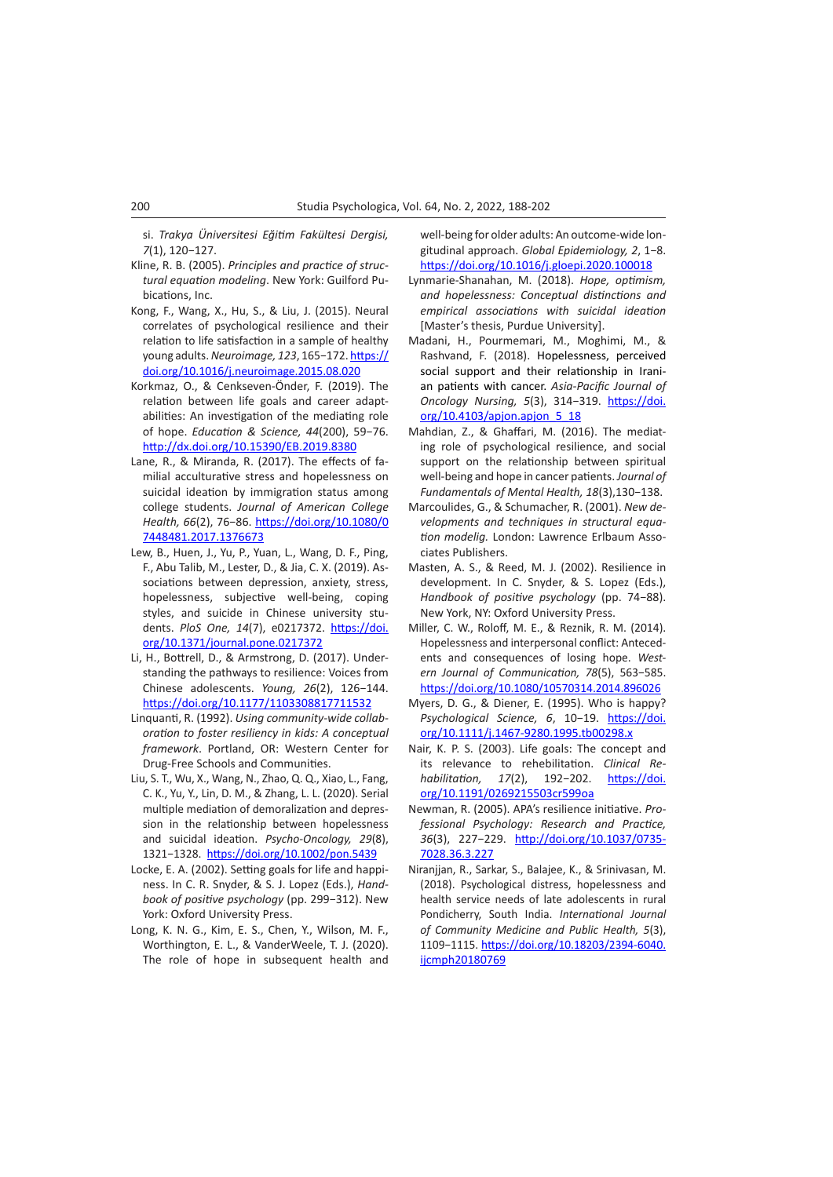si. *Trakya Üniversitesi Eğitim Fakültesi Dergisi, 7*(1), 120−127.

- Kline, R. B. (2005). *Principles and practice of structural equation modeling*. New York: Guilford Pubications, Inc.
- Kong, F., Wang, X., Hu, S., & Liu, J. (2015). Neural correlates of psychological resilience and their relation to life satisfaction in a sample of healthy young adults. *Neuroimage, 123*, 165−172. [https://](https://doi.org/10.1016/j.neuroimage.2015.08.020) [doi.org/10.1016/j.neuroimage.2015.08.020](https://doi.org/10.1016/j.neuroimage.2015.08.020)
- Korkmaz, O., & Cenkseven-Önder, F. (2019). The relation between life goals and career adaptabilities: An investigation of the mediating role of hope. *Education & Science, 44*(200), 59−76. <http://dx.doi.org/10.15390/EB.2019.8380>
- Lane, R., & Miranda, R. (2017). The effects of familial acculturative stress and hopelessness on suicidal ideation by immigration status among college students. *Journal of American College Health, 66*(2), 76−86. [https://doi.org/10.1080/0](https://doi.org/10.1080/07448481.2017.1376673) [7448481.2017.1376673](https://doi.org/10.1080/07448481.2017.1376673)
- Lew, B., Huen, J., Yu, P., Yuan, L., Wang, D. F., Ping, F., Abu Talib, M., Lester, D., & Jia, C. X. (2019). Associations between depression, anxiety, stress, hopelessness, subjective well-being, coping styles, and suicide in Chinese university students. *PloS One, 14*(7), e0217372. [https://doi.](https://doi.org/10.1371/journal.pone.0217372) [org/10.1371/journal.pone.0217372](https://doi.org/10.1371/journal.pone.0217372)
- Li, H., Bottrell, D., & Armstrong, D. (2017). Understanding the pathways to resilience: Voices from Chinese adolescents. *Young, 26*(2), 126−144. <https://doi.org/10.1177/1103308817711532>
- Linquanti, R. (1992). *Using community-wide collaboration to foster resiliency in kids: A conceptual framework*. Portland, OR: Western Center for Drug-Free Schools and Communities.
- Liu, S. T., Wu, X., Wang, N., Zhao, Q. Q., Xiao, L., Fang, C. K., Yu, Y., Lin, D. M., & Zhang, L. L. (2020). Serial multiple mediation of demoralization and depression in the relationship between hopelessness and suicidal ideation. *Psycho-Oncology, 29*(8), 1321−1328. <https://doi.org/10.1002/pon.5439>
- Locke, E. A. (2002). Setting goals for life and happiness. In C. R. Snyder, & S. J. Lopez (Eds.), *Handbook of positive psychology* (pp. 299−312). New York: Oxford University Press.
- Long, K. N. G., Kim, E. S., Chen, Y., Wilson, M. F., Worthington, E. L., & VanderWeele, T. J. (2020). The role of hope in subsequent health and

well-being for older adults: An outcome-wide longitudinal approach. *Global Epidemiology, 2*, 1−8. <https://doi.org/10.1016/j.gloepi.2020.100018>

- Lynmarie-Shanahan, M. (2018). *Hope, optimism, and hopelessness: Conceptual distinctions and empirical associations with suicidal ideation* [Master's thesis, Purdue University].
- Madani, H., Pourmemari, M., Moghimi, M., & Rashvand, F. (2018). Hopelessness, perceived social support and their relationship in Iranian patients with cancer. *Asia-Pacific Journal of Oncology Nursing, 5*(3), 314−319. [https://doi.](https://doi.org/10.4103/apjon.apjon_5_18) [org/10.4103/apjon.apjon\\_5\\_18](https://doi.org/10.4103/apjon.apjon_5_18)
- Mahdian, Z., & Ghaffari, M. (2016). The mediating role of psychological resilience, and social support on the relationship between spiritual well-being and hope in cancer patients. *Journal of Fundamentals of Mental Health, 18*(3),130−138.
- Marcoulides, G., & Schumacher, R. (2001). *New developments and techniques in structural equation modelig.* London: Lawrence Erlbaum Associates Publishers.
- Masten, A. S., & Reed, M. J. (2002). Resilience in development. In C. Snyder, & S. Lopez (Eds.), *Handbook of positive psychology* (pp. 74−88). New York, NY: Oxford University Press.
- Miller, C. W., Roloff, M. E., & Reznik, R. M. (2014). Hopelessness and interpersonal conflict: Antecedents and consequences of losing hope. *Western Journal of Communication, 78*(5), 563−585. <https://doi.org/10.1080/10570314.2014.896026>
- Myers, D. G., & Diener, E. (1995). Who is happy? *Psychological Science, 6*, 10−19. [https://doi.](https://doi.org/10.1111/j.1467-9280.1995.tb00298.x) [org/10.1111/j.1467-9280.1995.tb00298.x](https://doi.org/10.1111/j.1467-9280.1995.tb00298.x)
- Nair, K. P. S. (2003). Life goals: The concept and its relevance to rehebilitation. *Clinical Rehabilitation, 17*(2), 192−202. [https://doi.](https://doi.org/10.1191/0269215503cr599oa) [org/10.1191/0269215503cr599oa](https://doi.org/10.1191/0269215503cr599oa)
- Newman, R. (2005). APA's resilience initiative. *Professional Psychology: Research and Practice, 36*(3), 227−229. [http://doi.org/10.1037/0735-](http://doi.org/10.1037/0735-7028.36.3.227) [7028.36.3.227](http://doi.org/10.1037/0735-7028.36.3.227)
- Niranjjan, R., Sarkar, S., Balajee, K., & Srinivasan, M. (2018). Psychological distress, hopelessness and health service needs of late adolescents in rural Pondicherry, South India. *International Journal of Community Medicine and Public Health, 5*(3), 1109−1115. [https://doi.org/10.18203/2394-6040.](https://doi.org/10.18203/2394-6040.ijcmph20180769) [ijcmph20180769](https://doi.org/10.18203/2394-6040.ijcmph20180769)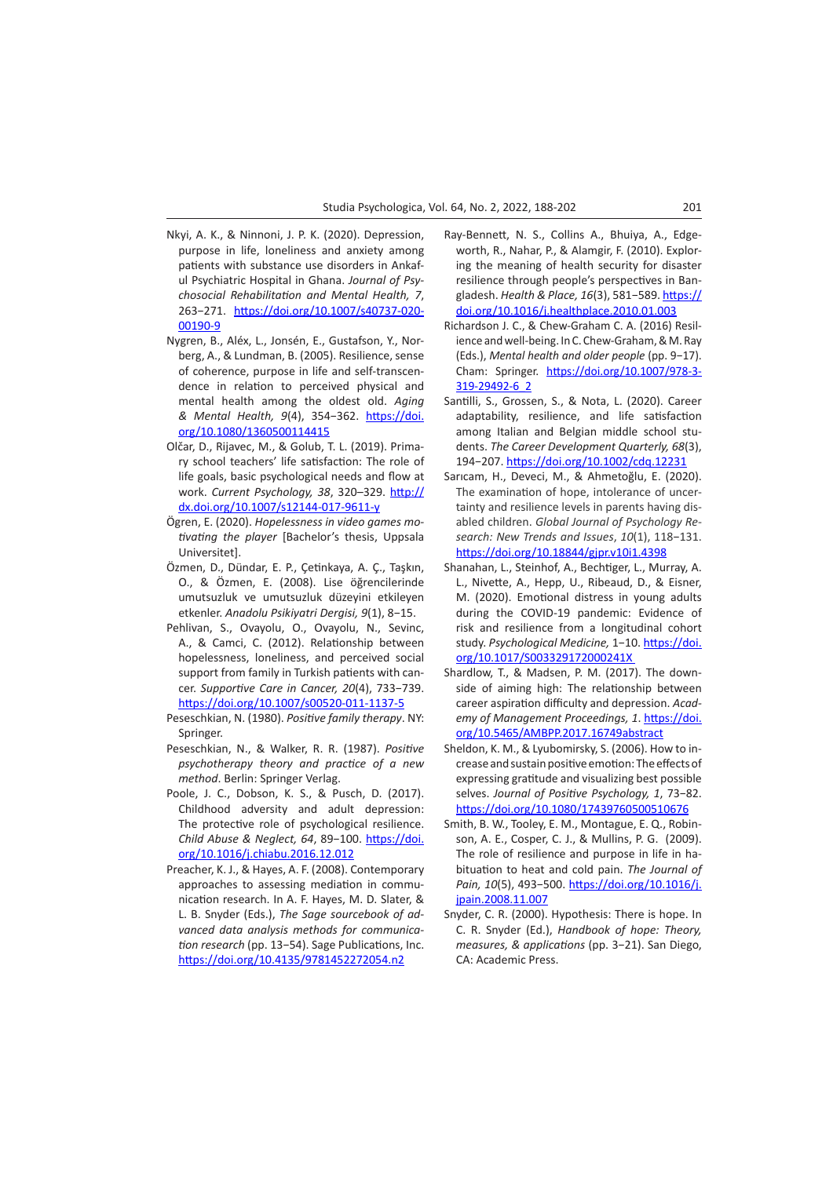- Nkyi, A. K., & Ninnoni, J. P. K. (2020). Depression, purpose in life, loneliness and anxiety among patients with substance use disorders in Ankaful Psychiatric Hospital in Ghana. *Journal of Psychosocial Rehabilitation and Mental Health, 7*, 263−271. [https://doi.org/10.1007/s40737-020-](https://doi.org/10.1007/s40737-020-00190-9%20) [00190-9](https://doi.org/10.1007/s40737-020-00190-9%20)
- Nygren, B., Aléx, L., Jonsén, E., Gustafson, Y., Norberg, A., & Lundman, B. (2005). Resilience, sense of coherence, purpose in life and self-transcendence in relation to perceived physical and mental health among the oldest old. *Aging & Mental Health, 9*(4), 354−362. [https://doi.](https://doi.org/10.1080/1360500114415) [org/10.1080/1360500114415](https://doi.org/10.1080/1360500114415)
- Olčar, D., Rijavec, M., & Golub, T. L. (2019). Primary school teachers' life satisfaction: The role of life goals, basic psychological needs and flow at work. *Current Psychology, 38*, 320–329. [http://](http://dx.doi.org/10.1007/s12144-017-9611-y) [dx.doi.org/10.1007/s12144-017-9611-y](http://dx.doi.org/10.1007/s12144-017-9611-y)
- Ögren, E. (2020). *Hopelessness in video games motivating the player* [Bachelor's thesis, Uppsala Universitet].
- Özmen, D., Dündar, E. P., Çetinkaya, A. Ç., Taşkın, O., & Özmen, E. (2008). Lise öğrencilerinde umutsuzluk ve umutsuzluk düzeyini etkileyen etkenler. *Anadolu Psikiyatri Dergisi, 9*(1), 8−15.
- Pehlivan, S., Ovayolu, O., Ovayolu, N., Sevinc, A., & Camci, C. (2012). Relationship between hopelessness, loneliness, and perceived social support from family in Turkish patients with cancer. *Supportive Care in Cancer, 20*(4), 733−739. <https://doi.org/10.1007/s00520-011-1137-5>
- Peseschkian, N. (1980). *Positive family therapy*. NY: Springer.
- Peseschkian, N., & Walker, R. R. (1987). *Positive psychotherapy theory and practice of a new method*. Berlin: Springer Verlag.
- Poole, J. C., Dobson, K. S., & Pusch, D. (2017). Childhood adversity and adult depression: The protective role of psychological resilience. *Child Abuse & Neglect, 64*, 89−100. [https://doi.](https://doi.org/10.1016/j.chiabu.2016.12.012) [org/10.1016/j.chiabu.2016.12.012](https://doi.org/10.1016/j.chiabu.2016.12.012)
- Preacher, K. J., & Hayes, A. F. (2008). Contemporary approaches to assessing mediation in communication research. In A. F. Hayes, M. D. Slater, & L. B. Snyder (Eds.), *The Sage sourcebook of advanced data analysis methods for communication research* (pp. 13−54). Sage Publications, Inc. <https://doi.org/10.4135/9781452272054.n2>
- Ray-Bennett, N. S., Collins A., Bhuiya, A., Edgeworth, R., Nahar, P., & Alamgir, F. (2010). Exploring the meaning of health security for disaster resilience through people's perspectives in Bangladesh. *Health & Place, 16*(3), 581−589. [https://](https://doi.org/10.1016/j.healthplace.2010.01.003) [doi.org/10.1016/j.healthplace.2010.01.003](https://doi.org/10.1016/j.healthplace.2010.01.003)
- Richardson J. C., & Chew-Graham C. A. (2016) Resilience and well-being. In C. Chew-Graham, & M. Ray (Eds.), *Mental health and older people* (pp. 9−17). Cham: Springer. [https://doi.org/10.1007/978-3-](https://doi.org/10.1007/978-3-319-29492-6_2) [319-29492-6\\_2](https://doi.org/10.1007/978-3-319-29492-6_2)
- Santilli, S., Grossen, S., & Nota, L. (2020). Career adaptability, resilience, and life satisfaction among Italian and Belgian middle school students. *The Career Development Quarterly, 68*(3), 194−207.<https://doi.org/10.1002/cdq.12231>
- Sarıcam, H., Deveci, M., & Ahmetoğlu, E. (2020). The examination of hope, intolerance of uncertainty and resilience levels in parents having disabled children. *Global Journal of Psychology Research: New Trends and Issues*, *10*(1), 118−131. <https://doi.org/10.18844/gjpr.v10i1.4398>
- Shanahan, L., Steinhof, A., Bechtiger, L., Murray, A. L., Nivette, A., Hepp, U., Ribeaud, D., & Eisner, M. (2020). Emotional distress in young adults during the COVID-19 pandemic: Evidence of risk and resilience from a longitudinal cohort study. *Psychological Medicine,* 1−10. [https://doi.](https://doi.org/10.1017/S003329172000241X) [org/10.1017/S003329172000241X](https://doi.org/10.1017/S003329172000241X)
- Shardlow, T., & Madsen, P. M. (2017). The downside of aiming high: The relationship between career aspiration difficulty and depression. *Academy of Management Proceedings, 1*. [https://doi.](https://doi.org/10.5465/AMBPP.2017.16749abstract) [org/10.5465/AMBPP.2017.16749abstract](https://doi.org/10.5465/AMBPP.2017.16749abstract)
- Sheldon, K. M., & Lyubomirsky, S. (2006). How to increase and sustain positive emotion: The effects of expressing gratitude and visualizing best possible selves. *Journal of Positive Psychology, 1*, 73−82. <https://doi.org/10.1080/17439760500510676>
- Smith, B. W., Tooley, E. M., Montague, E. Q., Robinson, A. E., Cosper, C. J., & Mullins, P. G. (2009). The role of resilience and purpose in life in habituation to heat and cold pain. *The Journal of Pain, 10*(5), 493−500. [https://doi.org/10.1016/j.](https://doi.org/10.1016/j.jpain.2008.11.007%20) [jpain.2008.11.007](https://doi.org/10.1016/j.jpain.2008.11.007%20)
- Snyder, C. R. (2000). Hypothesis: There is hope. In C. R. Snyder (Ed.), *Handbook of hope: Theory, measures, & applications* (pp. 3−21). San Diego, CA: Academic Press.